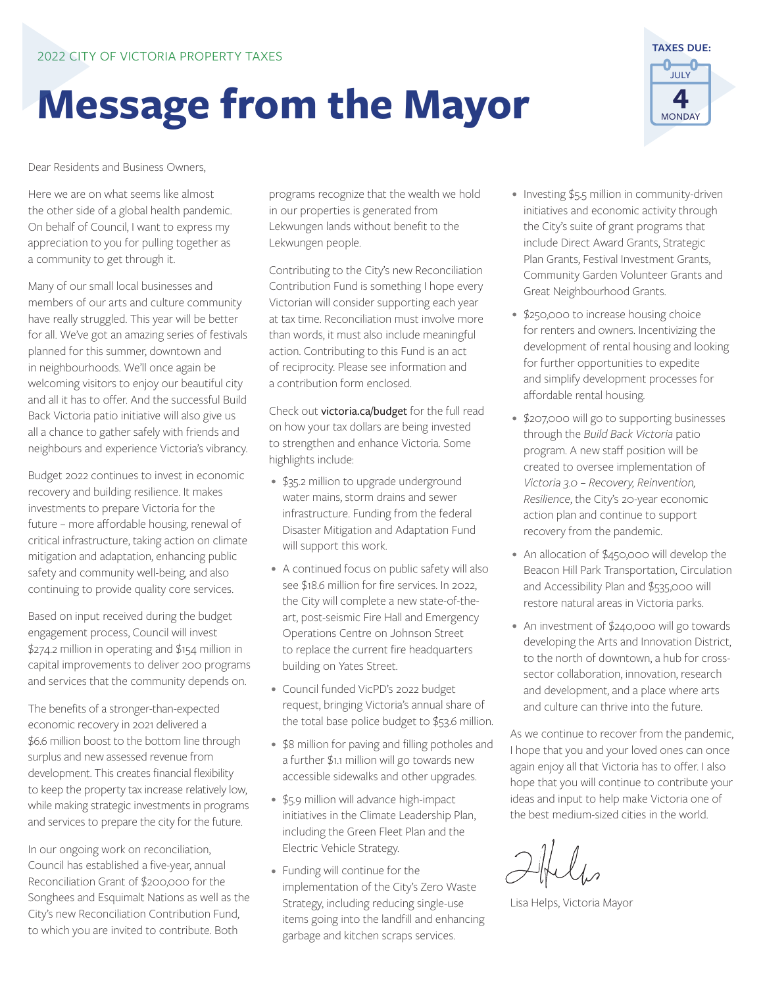# **Message from the Mayor**

**TAXES DUE:** JULY **4** MONDAY

Dear Residents and Business Owners,

Here we are on what seems like almost the other side of a global health pandemic. On behalf of Council, I want to express my appreciation to you for pulling together as a community to get through it.

Many of our small local businesses and members of our arts and culture community have really struggled. This year will be better for all. We've got an amazing series of festivals planned for this summer, downtown and in neighbourhoods. We'll once again be welcoming visitors to enjoy our beautiful city and all it has to offer. And the successful Build Back Victoria patio initiative will also give us all a chance to gather safely with friends and neighbours and experience Victoria's vibrancy.

Budget 2022 continues to invest in economic recovery and building resilience. It makes investments to prepare Victoria for the future – more affordable housing, renewal of critical infrastructure, taking action on climate mitigation and adaptation, enhancing public safety and community well-being, and also continuing to provide quality core services.

Based on input received during the budget engagement process, Council will invest \$274.2 million in operating and \$154 million in capital improvements to deliver 200 programs and services that the community depends on.

The benefits of a stronger-than-expected economic recovery in 2021 delivered a \$6.6 million boost to the bottom line through surplus and new assessed revenue from development. This creates financial flexibility to keep the property tax increase relatively low, while making strategic investments in programs and services to prepare the city for the future.

In our ongoing work on reconciliation, Council has established a five-year, annual Reconciliation Grant of \$200,000 for the Songhees and Esquimalt Nations as well as the City's new Reconciliation Contribution Fund, to which you are invited to contribute. Both

programs recognize that the wealth we hold in our properties is generated from Lekwungen lands without benefit to the Lekwungen people.

Contributing to the City's new Reconciliation Contribution Fund is something I hope every Victorian will consider supporting each year at tax time. Reconciliation must involve more than words, it must also include meaningful action. Contributing to this Fund is an act of reciprocity. Please see information and a contribution form enclosed.

Check out victoria.ca/budget for the full read on how your tax dollars are being invested to strengthen and enhance Victoria. Some highlights include:

- \$35.2 million to upgrade underground water mains, storm drains and sewer infrastructure. Funding from the federal Disaster Mitigation and Adaptation Fund will support this work.
- A continued focus on public safety will also see \$18.6 million for fire services. In 2022, the City will complete a new state-of-theart, post-seismic Fire Hall and Emergency Operations Centre on Johnson Street to replace the current fire headquarters building on Yates Street.
- Council funded VicPD's 2022 budget request, bringing Victoria's annual share of the total base police budget to \$53.6 million.
- \$8 million for paving and filling potholes and a further \$1.1 million will go towards new accessible sidewalks and other upgrades.
- \$5.9 million will advance high-impact initiatives in the Climate Leadership Plan, including the Green Fleet Plan and the Electric Vehicle Strategy.
- Funding will continue for the implementation of the City's Zero Waste Strategy, including reducing single-use items going into the landfill and enhancing garbage and kitchen scraps services.
- Investing \$5.5 million in community-driven initiatives and economic activity through the City's suite of grant programs that include Direct Award Grants, Strategic Plan Grants, Festival Investment Grants, Community Garden Volunteer Grants and Great Neighbourhood Grants.
- \$250,000 to increase housing choice for renters and owners. Incentivizing the development of rental housing and looking for further opportunities to expedite and simplify development processes for affordable rental housing.
- \$207,000 will go to supporting businesses through the *Build Back Victoria* patio program. A new staff position will be created to oversee implementation of *Victoria 3.0 – Recovery, Reinvention, Resilience*, the City's 20-year economic action plan and continue to support recovery from the pandemic.
- An allocation of \$450,000 will develop the Beacon Hill Park Transportation, Circulation and Accessibility Plan and \$535,000 will restore natural areas in Victoria parks.
- An investment of \$240,000 will go towards developing the Arts and Innovation District, to the north of downtown, a hub for crosssector collaboration, innovation, research and development, and a place where arts and culture can thrive into the future.

As we continue to recover from the pandemic, I hope that you and your loved ones can once again enjoy all that Victoria has to offer. I also hope that you will continue to contribute your ideas and input to help make Victoria one of the best medium-sized cities in the world.

 $2\frac{1}{2}$ 

Lisa Helps, Victoria Mayor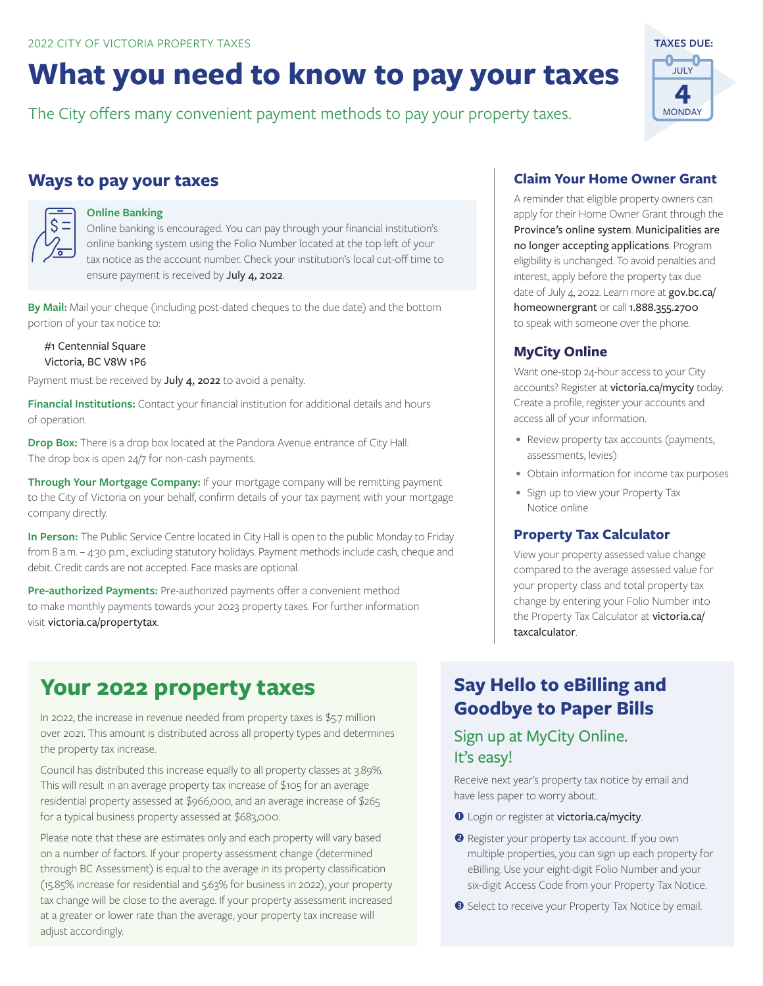# **What you need to know to pay your taxes**

The City offers many convenient payment methods to pay your property taxes.

#### **Ways to pay your taxes**

#### **Online Banking**

Online banking is encouraged. You can pay through your financial institution's online banking system using the Folio Number located at the top left of your tax notice as the account number. Check your institution's local cut-off time to ensure payment is received by July 4, 2022.

**By Mail:** Mail your cheque (including post-dated cheques to the due date) and the bottom portion of your tax notice to:

#1 Centennial Square Victoria, BC V8W 1P6

Payment must be received by July 4, 2022 to avoid a penalty.

**Financial Institutions:** Contact your financial institution for additional details and hours of operation.

**Drop Box:** There is a drop box located at the Pandora Avenue entrance of City Hall. The drop box is open 24/7 for non-cash payments.

**Through Your Mortgage Company:** If your mortgage company will be remitting payment to the City of Victoria on your behalf, confirm details of your tax payment with your mortgage company directly.

**In Person:** The Public Service Centre located in City Hall is open to the public Monday to Friday from 8 a.m. – 4:30 p.m., excluding statutory holidays. Payment methods include cash, cheque and debit. Credit cards are not accepted. Face masks are optional.

**Pre-authorized Payments:** Pre-authorized payments offer a convenient method to make monthly payments towards your 2023 property taxes. For further information visit victoria.ca/propertytax.

### **Your 2022 property taxes**

In 2022, the increase in revenue needed from property taxes is \$5.7 million over 2021. This amount is distributed across all property types and determines the property tax increase.

Council has distributed this increase equally to all property classes at 3.89%. This will result in an average property tax increase of \$105 for an average residential property assessed at \$966,000, and an average increase of \$265 for a typical business property assessed at \$683,000.

Please note that these are estimates only and each property will vary based on a number of factors. If your property assessment change (determined through BC Assessment) is equal to the average in its property classification (15.85% increase for residential and 5.63% for business in 2022), your property tax change will be close to the average. If your property assessment increased at a greater or lower rate than the average, your property tax increase will adjust accordingly.

#### **Claim Your Home Owner Grant**

A reminder that eligible property owners can apply for their Home Owner Grant through the Province's online system. Municipalities are no longer accepting applications. Program eligibility is unchanged. To avoid penalties and interest, apply before the property tax due date of July 4, 2022. Learn more at gov.bc.ca/ homeownergrant or call 1.888.355.2700 to speak with someone over the phone.

#### **MyCity Online**

Want one-stop 24-hour access to your City accounts? Register at victoria.ca/mycity today. Create a profile, register your accounts and access all of your information.

- Review property tax accounts (payments, assessments, levies)
- Obtain information for income tax purposes
- Sign up to view your Property Tax Notice online

#### **Property Tax Calculator**

View your property assessed value change compared to the average assessed value for your property class and total property tax change by entering your Folio Number into the Property Tax Calculator at victoria.ca/ taxcalculator.

### **Say Hello to eBilling and Goodbye to Paper Bills**

#### Sign up at MyCity Online. It's easy!

Receive next year's property tax notice by email and have less paper to worry about.

- **O** Login or register at victoria.ca/mycity.
- **2** Register your property tax account. If you own multiple properties, you can sign up each property for eBilling. Use your eight-digit Folio Number and your six-digit Access Code from your Property Tax Notice.
- **B** Select to receive your Property Tax Notice by email.

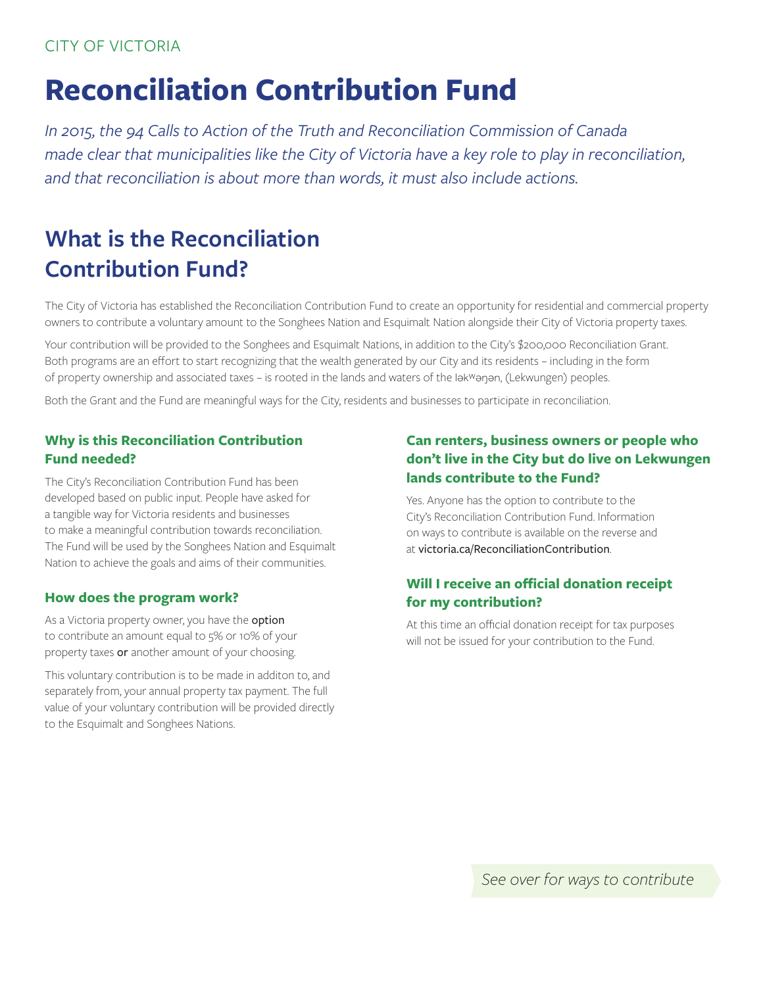#### CITY OF VICTORIA

# **Reconciliation Contribution Fund**

*In 2015, the 94 Calls to Action of the Truth and Reconciliation Commission of Canada made clear that municipalities like the City of Victoria have a key role to play in reconciliation, and that reconciliation is about more than words, it must also include actions.*

### **What is the Reconciliation Contribution Fund?**

The City of Victoria has established the Reconciliation Contribution Fund to create an opportunity for residential and commercial property owners to contribute a voluntary amount to the Songhees Nation and Esquimalt Nation alongside their City of Victoria property taxes.

Your contribution will be provided to the Songhees and Esquimalt Nations, in addition to the City's \$200,000 Reconciliation Grant. Both programs are an effort to start recognizing that the wealth generated by our City and its residents – including in the form of property ownership and associated taxes – is rooted in the lands and waters of the lәkwәŋәn, (Lekwungen) peoples.

Both the Grant and the Fund are meaningful ways for the City, residents and businesses to participate in reconciliation.

#### **Why is this Reconciliation Contribution Fund needed?**

The City's Reconciliation Contribution Fund has been developed based on public input. People have asked for a tangible way for Victoria residents and businesses to make a meaningful contribution towards reconciliation. The Fund will be used by the Songhees Nation and Esquimalt Nation to achieve the goals and aims of their communities.

#### **How does the program work?**

As a Victoria property owner, you have the **option** to contribute an amount equal to 5% or 10% of your property taxes or another amount of your choosing.

This voluntary contribution is to be made in additon to, and separately from, your annual property tax payment. The full value of your voluntary contribution will be provided directly to the Esquimalt and Songhees Nations.

#### **Can renters, business owners or people who don't live in the City but do live on Lekwungen lands contribute to the Fund?**

Yes. Anyone has the option to contribute to the City's Reconciliation Contribution Fund. Information on ways to contribute is available on the reverse and at victoria.ca/ReconciliationContribution.

#### **Will I receive an official donation receipt for my contribution?**

At this time an official donation receipt for tax purposes will not be issued for your contribution to the Fund.

*See over for ways to contribute*